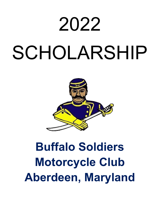# 2022 SCHOLARSHIP



# **Buffalo Soldiers Motorcycle Club Aberdeen, Maryland**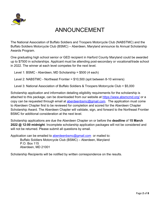

# ANNOUNCEMENT

The National Association of Buffalo Soldiers and Troopers Motorcycle Club (NABSTMC) and the Buffalo Soldiers Motorcycle Club (BSMC) – Aberdeen, Maryland announce its Annual Scholarship Awards Program.

One graduating high school senior or GED recipient in Harford County Maryland could be awarded up to \$7500 in scholarships. Applicant must be attending post-secondary or vocational/trade school in 2022. The winner at each level competes for the next level.

Level 1: BSMC - Aberdeen, MD Scholarship = \$500 (4 each)

Level 2: NABSTMC - Northeast Frontier = \$10,500 (spit between 8-10 winners)

Level 3: National Association of Buffalo Soldiers & Troopers Motorcycle Club = \$5,000

Scholarship application and information detailing eligibility requirements for the scholarship is attached to this package, can be downloaded from our website at https://www.absmcmd.org/ or a copy can be requested through email at aberdeenbsmc@gmail.com. The application must come to Aberdeen Chapter first to be reviewed for completion and scored for the Aberdeen Chapter Scholarship Award. The Aberdeen Chapter will validate, sign, and forward to the Northeast Frontier BSMC for additional consideration at the next level.

Scholarship applications are due the Aberdeen Chapter on or before the **deadline** of **15 March 2022 @ 12:00 midnight**. Incomplete scholarship application packages will not be considered and will not be returned. Please submit all questions by email.

Application can be emailed to aberdeenbsmc@gmail.com or mailed to: Buffalo Soldiers Motorcycle Club (BSMC) – Aberdeen, Maryland P.O. Box 115 Aberdeen, MD 21001

Scholarship Recipients will be notified by written correspondence on the results.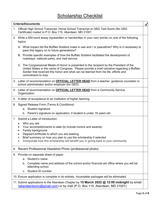|    | <b>Criteria/Documents</b>                                                                                                                                                                                                                                                                              | $\blacktriangledown$ |  |
|----|--------------------------------------------------------------------------------------------------------------------------------------------------------------------------------------------------------------------------------------------------------------------------------------------------------|----------------------|--|
| 1. | Official High School Transcript, Home School Transcript or GED Test Score (No GED<br>Certificate) mailed to P.O. Box 115, Aberdeen, MD 21001                                                                                                                                                           |                      |  |
|    | 2. Write a 500-word essay (typewritten or handwritten in your own words) on one of the following<br>topics.                                                                                                                                                                                            |                      |  |
|    | A. What impact did the Buffalo Soldiers make in war and / or peacetime? Why is it necessary to<br>pass this legacy on to future generations?                                                                                                                                                           |                      |  |
|    | B. Provide specific examples of how the Buffalo Soldiers facilitated the development of<br>roadways, national parks, and mail service.                                                                                                                                                                 |                      |  |
|    | C. The Congressional Medal of Honor is presented to the recipient by the President of the<br>United States in the name of Congress. Please provide a brief narrative regarding a Buffalo<br>Soldier that received this honor and what can be learned from his life, efforts and<br>commitment to duty. |                      |  |
|    | 3. Letter of recommendation on <b>OFFICIAL LETTER HEAD</b> from a teacher, guidance counselor or<br>school administrator and/or employer (for GED)                                                                                                                                                     |                      |  |
|    | 4. Letter of recommendation on <b>OFFICIAL LETTER HEAD</b> from a Community Service<br>Organization                                                                                                                                                                                                    |                      |  |
|    | 5. A letter of acceptance to an institution of higher learning                                                                                                                                                                                                                                         |                      |  |
|    | 6. Signed Release Form (Terms & Conditions)                                                                                                                                                                                                                                                            |                      |  |
|    | a. Student signature                                                                                                                                                                                                                                                                                   |                      |  |
|    | b. Parent's signature on application, if student is under 18 years old                                                                                                                                                                                                                                 |                      |  |
|    | 7. Submit a Letter of Introduction:                                                                                                                                                                                                                                                                    |                      |  |
|    | Who you are                                                                                                                                                                                                                                                                                            |                      |  |
|    | Your accomplishments to date (to include honors and awards)<br>٠<br>Family background                                                                                                                                                                                                                  |                      |  |
|    | Degree/Certificate to which you are seeking                                                                                                                                                                                                                                                            |                      |  |
|    | Brief summary on how you plan to use the scholarship if selected<br>Incorporate how this scholarship will benefit you in giving back to your community                                                                                                                                                 |                      |  |
|    |                                                                                                                                                                                                                                                                                                        |                      |  |
| 8. | Recent Professional Headshot Photo (professional photo)                                                                                                                                                                                                                                                |                      |  |
|    | 9. Provide on separate sheet of paper:                                                                                                                                                                                                                                                                 |                      |  |
|    | Student's name<br>a.                                                                                                                                                                                                                                                                                   |                      |  |
|    | Complete name and address of the school and/or financial aid office where you will be<br>b.<br>attending school                                                                                                                                                                                        |                      |  |
|    | Student ID number<br>C.                                                                                                                                                                                                                                                                                |                      |  |
|    | 10. Ensure application is complete in its entirety. Incomplete packages will be eliminated.                                                                                                                                                                                                            |                      |  |
|    | 11. Submit applications to the Aberdeen Chapter by 15 March 2022 @ 12:00 midnight by email<br>(aberdeenbsmc@gmail.com) or by mail (P.O. Box 115, Aberdeen, MD 21001)                                                                                                                                   |                      |  |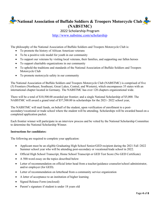**National Association of Buffalo Soldiers & Troopers Motorcycle Club (NABSTMC)**

2022 Scholarship Program

http://www.nabstmc.com/scholarship

The philosophy of the National Association of Buffalo Soldiers and Troopers Motorcycle Club is:

- To promote the history of African American veterans
- To be a positive role model for youth in our community
- To support our veterans by visiting local veterans, their families, and supporting our fallen heroes
- To support charitable organizations in our community
- To uphold the traditions and standards of the National Association of Buffalo Soldiers and Troopers Motorcycle Club
- To promote motorcycle safety in our community

The National Association of Buffalo Soldiers and Troopers Motorcycle Club (NABSTMC) is comprised of five (5) Frontiers (Northeast, Southeast, Great Lakes, Central, and Western), which encompasses 35 states with an international chapter located in Germany. The NABSTMC has over 120 chapters organizational wide.

There will be a total of \$10,500.00 awarded per frontier; and a single National Scholarship of \$5,000. The NABSTMC will award a grand total of \$57,500.00 in scholarships for the 2021- 2022 school year,

The NABSTMC will mail funds, on behalf of the student, upon verification of enrollment to a postsecondary/vocational or trade school where the student will be attending. Scholarships will be awarded based on a completed application packet.

Each frontier winner will participate in an interview process and be vetted by the National Scholarship Committee to determine the National Scholarship Winner.

### **Instructions for candidates:**

The following are required to complete your application:

- Applicant must be an eligible Graduating High School Senior/GED recipient during the 2021 Fall /2022 Summer school year who will be attending post-secondary or vocational/trade school in 2022.
- Official High School Transcript, Home School Transcript or GED Test Score (No GED Certificate)
- A 500-word essay on the topics described below
- Letter of recommendation on official letter head from a teacher/guidance counselor/school administrator, and/or employer (for GED).
- Letter of recommendation on letterhead from a community service organization
- A letter of acceptance to an institution of higher learning
- Signed Release Form (enclosed)
- Parent's signature if student is under 18 years old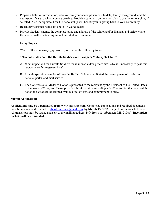- Prepare a letter of introduction, who you are, your accomplishments to date, family background, and the degree/certificate to which you are seeking. Provide a summary on how you plan to use the scholarship, if selected. Also incorporate, how this scholarship will benefit you in giving back to your community.
- Recent professional head shot photo (In Good Taste)
- Provide Student's name, the complete name and address of the school and/or financial aid office where the student will be attending school and student ID number.

#### **Essay Topics:**

Write a 500-word essay (typewritten) on one of the following topics:

#### \*\***Do not write about the Buffalo Soldiers and Troopers Motorcycle Club**\*\*

- A. What impact did the Buffalo Soldiers make in war and/or peacetime? Why is it necessary to pass this legacy on to future generations?
- B. Provide specific examples of how the Buffalo Soldiers facilitated the development of roadways, national parks, and mail service.
- C. The Congressional Medal of Honor is presented to the recipient by the President of the United States in the name of Congress. Please provide a brief narrative regarding a Buffalo Soldier that received this honor and what can be learned from his life, efforts, and commitment to duty.

#### **Submit Application:**

**Applications may be downloaded from www.nabstmc.com.** Completed applications and required documents must be scanned and emailed to aberdeenbsmc@gmail.com by March 15, 2022. Subject line is your full name. All transcripts must be sealed and sent to the mailing address, P.O. Box 115, Aberdeen, MD 21001). **Incomplete packets will be eliminated.**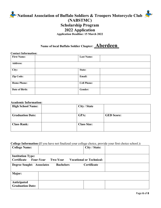# **National Association of Buffalo Soldiers & Troopers Motorcycle Club (NABSTMC) Scholarship Program 2022 Application**

**Application Deadline: 15 March 2022**

# **Name of local Buffalo Soldier Chapter: \_Aberdeen\_**

### **Contact Information:**

| <b>First Name:</b> | <b>Last Name:</b>  |  |
|--------------------|--------------------|--|
| <b>Address:</b>    |                    |  |
| City:              | State:             |  |
| Zip Code:          | Email:             |  |
| <b>Home Phone:</b> | <b>Cell Phone:</b> |  |
| Date of Birth:     | Gender:            |  |

## **Academic Information:**

| <b>High School Name:</b> | City / State       |                   |
|--------------------------|--------------------|-------------------|
| <b>Graduation Date:</b>  | GPA:               | <b>GED Score:</b> |
| <b>Class Rank:</b>       | <b>Class Size:</b> |                   |
|                          |                    |                   |

# **College Information (**If you have not finalized your college choice, provide your first choice school.)**:**

| - 8<br><b>College Name:</b>                                 |                  | o<br>City / State:              |  |
|-------------------------------------------------------------|------------------|---------------------------------|--|
| <b>Institution Type:</b><br>Certificate<br><b>Four-Year</b> | Two-Year         | <b>Vocational or Technical:</b> |  |
| <b>Degree Sought: Associates</b>                            | <b>Bachelors</b> | Certificate                     |  |
| Major:                                                      |                  |                                 |  |
| Anticipated<br><b>Graduation Date:</b>                      |                  |                                 |  |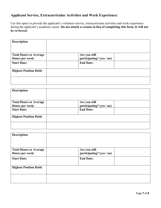# **Applicant Service, Extracurricular Activities and Work Experience:**

Use this space to provide the applicant's volunteer service, extracurricular activities and work experience during the applicant's academic career. **Do not attach a resume in lieu of completing this form. It will not be reviewed.**

| <b>Description</b>                               |                                            |  |
|--------------------------------------------------|--------------------------------------------|--|
| <b>Total Hours or Average</b><br>Hours per week: | Are you still<br>participating? (yes / no) |  |
| <b>Start Date:</b>                               | <b>End Date:</b>                           |  |
| <b>Highest Position Held:</b>                    |                                            |  |
|                                                  |                                            |  |

| <b>Description</b>                               |                                            |  |
|--------------------------------------------------|--------------------------------------------|--|
| <b>Total Hours or Average</b><br>Hours per week: | Are you still<br>participating? (yes / no) |  |
| <b>Start Date:</b>                               | <b>End Date:</b>                           |  |
| <b>Highest Position Held:</b>                    |                                            |  |
|                                                  |                                            |  |

| <b>Description</b>                               |                                            |  |
|--------------------------------------------------|--------------------------------------------|--|
| <b>Total Hours or Average</b><br>Hours per week: | Are you still<br>participating? (yes / no) |  |
| <b>Start Date:</b>                               | <b>End Date:</b>                           |  |
| <b>Highest Position Held:</b>                    |                                            |  |
|                                                  |                                            |  |